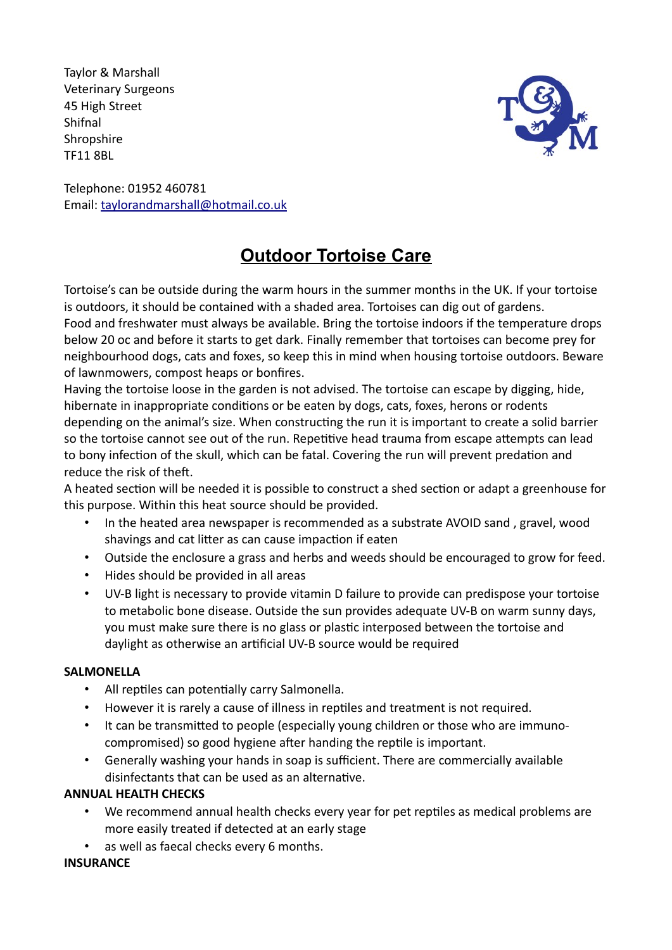Taylor & Marshall Veterinary Surgeons 45 High Street Shifnal **Shropshire** TF11 8BL



Telephone: 01952 460781 Email: taylorandmarshall@hotmail.co.uk

## **Outdoor Tortoise Care**

Tortoise's can be outside during the warm hours in the summer months in the UK. If your tortoise is outdoors, it should be contained with a shaded area. Tortoises can dig out of gardens. Food and freshwater must always be available. Bring the tortoise indoors if the temperature drops below 20 oc and before it starts to get dark. Finally remember that tortoises can become prey for neighbourhood dogs, cats and foxes, so keep this in mind when housing tortoise outdoors. Beware of lawnmowers, compost heaps or bonfires.

Having the tortoise loose in the garden is not advised. The tortoise can escape by digging, hide, hibernate in inappropriate conditions or be eaten by dogs, cats, foxes, herons or rodents depending on the animal's size. When constructing the run it is important to create a solid barrier so the tortoise cannot see out of the run. Repetitive head trauma from escape attempts can lead to bony infection of the skull, which can be fatal. Covering the run will prevent predation and reduce the risk of theft.

A heated section will be needed it is possible to construct a shed section or adapt a greenhouse for this purpose. Within this heat source should be provided.

- In the heated area newspaper is recommended as a substrate AVOID sand , gravel, wood shavings and cat litter as can cause impaction if eaten
- Outside the enclosure a grass and herbs and weeds should be encouraged to grow for feed.
- Hides should be provided in all areas
- UV-B light is necessary to provide vitamin D failure to provide can predispose your tortoise to metabolic bone disease. Outside the sun provides adequate UV-B on warm sunny days, you must make sure there is no glass or plastic interposed between the tortoise and daylight as otherwise an artificial UV-B source would be required

## **SALMONELLA**

- All reptiles can potentially carry Salmonella.
- However it is rarely a cause of illness in reptiles and treatment is not required.
- It can be transmitted to people (especially young children or those who are immunocompromised) so good hygiene after handing the reptile is important.
- Generally washing your hands in soap is sufficient. There are commercially available disinfectants that can be used as an alternative.

## **ANNUAL HEALTH CHECKS**

- We recommend annual health checks every year for pet reptiles as medical problems are more easily treated if detected at an early stage
- as well as faecal checks every 6 months.

## **INSURANCE**